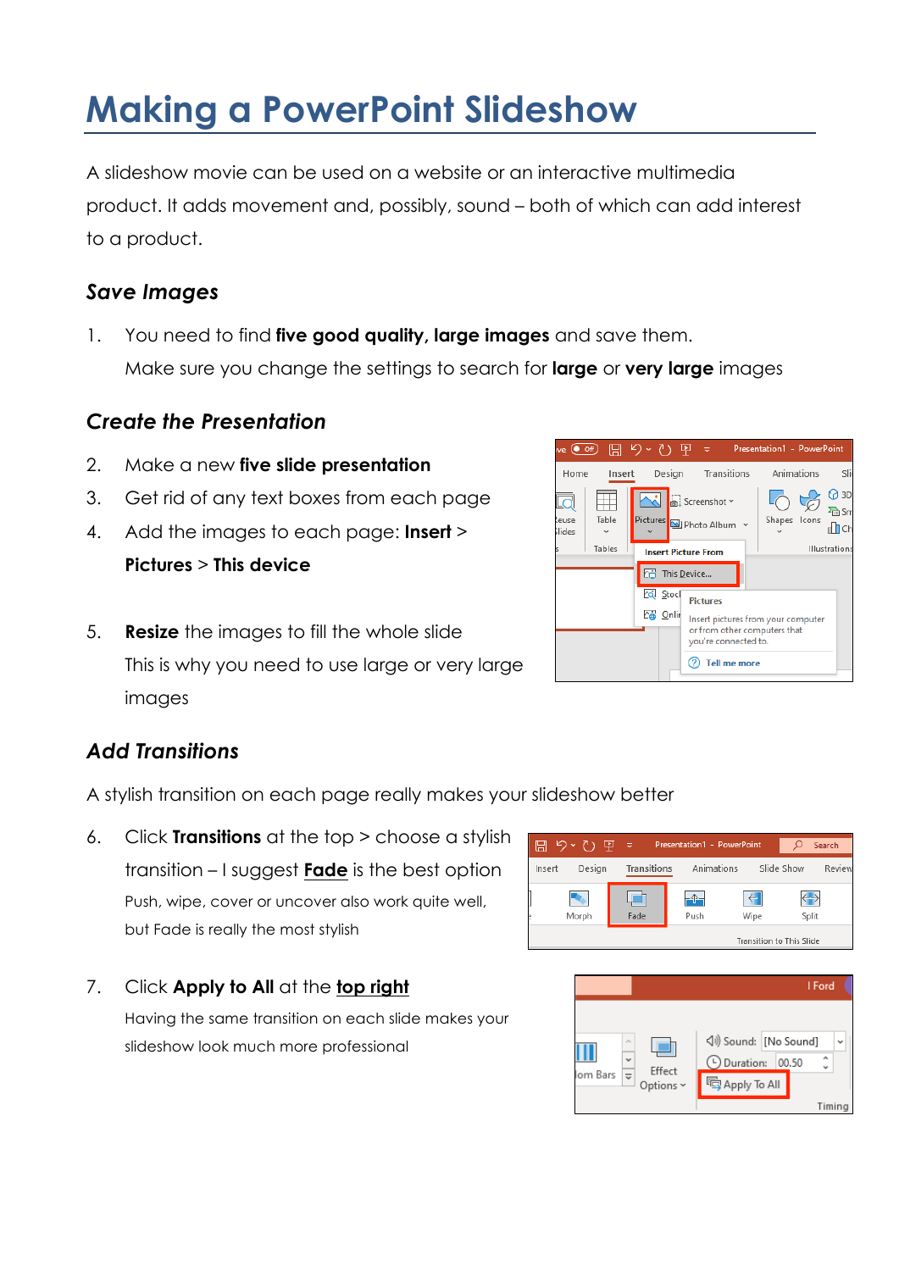# **Making a PowerPoint Slideshow**

A slideshow movie can be used on a website or an interactive multimedia product. It adds movement and, possibly, sound – both of which can add interest to a product.

## *Save Images*

1. You need to find **five good quality, large images** and save them. Make sure you change the settings to search for **large** or **very large** images

# *Create the Presentation*

- 2. Make a new **five slide presentation**
- 3. Get rid of any text boxes from each page
- 4. Add the images to each page: **Insert** > **Pictures** > **This device**
- 5. **Resize** the images to fill the whole slide This is why you need to use large or very large images

# *Add Transitions*

A stylish transition on each page really makes your slideshow better

6. Click **Transitions** at the top > choose a stylish transition – I suggest **Fade** is the best option Push, wipe, cover or uncover also work quite well, but Fade is really the most stylish

#### 7. Click **Apply to All** at the **top right**

Having the same transition on each slide makes your slideshow look much more professional